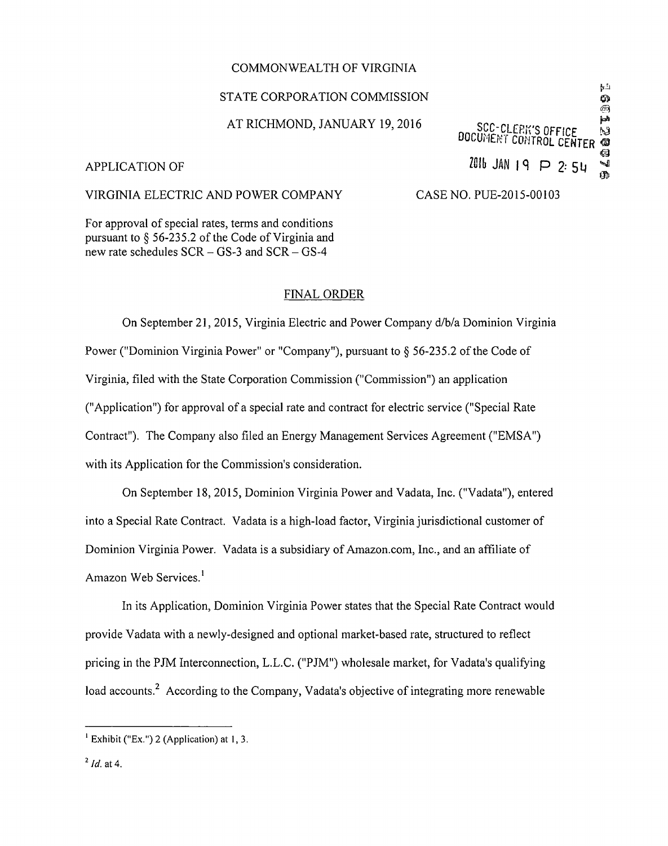### COMMONWEALTH OF VIRGINIA

# STATE CORPORATION COMMISSION

# AT RICHMOND, JANUARY 19, 2016

# $\omega$ **SAN** SCC-CLERK'S OFFICE<br>DOCUMENT CONTROL CENTER බ APPLICATION OF  $\begin{array}{c} \mathbf{M}^{\text{max}} \rightarrow \mathbf{M} \\ \mathbf{M} \rightarrow \mathbf{M} \end{array}$ m

 $\mathbf{L}_\mathbf{d}$ 

# VIRGINIA ELECTRIC AND POWER COMPANY CASE NO. PUE-2015-00103

For approval of special rates, terms and conditions pursuant to § 56-235.2 of the Code of Virginia and new rate schedules  $SCR - GS-3$  and  $SCR - GS-4$ 

# FINAL ORDER

On September 21, 2015, Virginia Electric and Power Company d/b/a Dominion Virginia Power ("Dominion Virginia Power" or "Company"), pursuant to § 56-235.2 of the Code of Virginia, filed with the State Corporation Commission ("Commission") an application ("Application") for approval of a special rate and contract for electric service ("Special Rate Contract"). The Company also filed an Energy Management Services Agreement ("EMSA") with its Application for the Commission's consideration.

On September 18, 2015, Dominion Virginia Power and Vadata, Inc. ("Vadata"), entered into a Special Rate Contract. Vadata is a high-load factor, Virginia jurisdictional customer of Dominion Virginia Power. Vadata is a subsidiary of Amazon.com, Inc., and an affiliate of Amazon Web Services.<sup>1</sup>

In its Application, Dominion Virginia Power states that the Special Rate Contract would provide Vadata with a newly-designed and optional market-based rate, structured to reflect pricing in the PJM Interconnection, L.L.C. ("PJM") wholesale market, for Vadata's qualifying load accounts.<sup>2</sup> According to the Company, Vadata's objective of integrating more renewable

<sup>&</sup>lt;sup>1</sup> Exhibit ("Ex.") 2 (Application) at 1, 3.

 $2$  Id. at 4.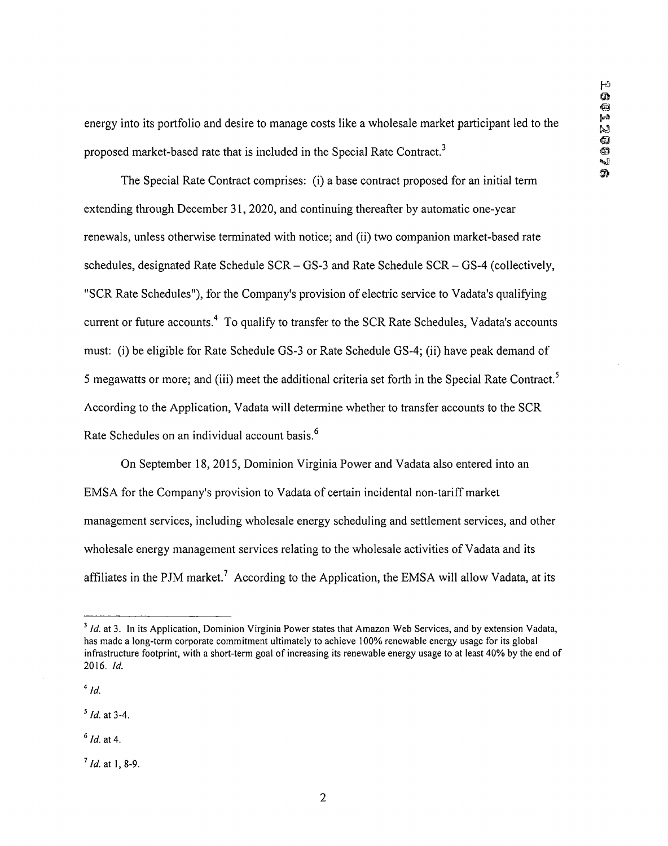energy into its portfolio and desire to manage costs like a wholesale market participant led to the proposed market-based rate that is included in the Special Rate Contract.<sup>3</sup>

The Special Rate Contract comprises: (i) a base contract proposed for an initial term extending through December 31, 2020, and continuing thereafter by automatic one-year renewals, unless otherwise terminated with notice; and (ii) two companion market-based rate schedules, designated Rate Schedule SCR - GS-3 and Rate Schedule SCR - GS-4 (collectively, "SCR Rate Schedules"), for the Company's provision of electric service to Vadata's qualifying current or future accounts.<sup>4</sup> To qualify to transfer to the SCR Rate Schedules, Vadata's accounts must: (i) be eligible for Rate Schedule GS-3 or Rate Schedule GS-4; (ii) have peak demand of 5 megawatts or more; and (iii) meet the additional criteria set forth in the Special Rate Contract.<sup>5</sup> According to the Application, Vadata will determine whether to transfer accounts to the SCR Rate Schedules on an individual account basis.6

On September 18, 2015, Dominion Virginia Power and Vadata also entered into an EMS A for the Company's provision to Vadata of certain incidental non-tariff market management services, including wholesale energy scheduling and settlement services, and other wholesale energy management services relating to the wholesale activities of Vadata and its affiliates in the PJM market.<sup>7</sup> According to the Application, the EMSA will allow Vadata, at its

 $7$  *Id.* at 1, 8-9.

<sup>&</sup>lt;sup>3</sup> Id. at 3. In its Application, Dominion Virginia Power states that Amazon Web Services, and by extension Vadata, has made a long-term corporate commitment ultimately to achieve 100% renewable energy usage for its global infrastructure footprint, with a short-term goal of increasing its renewable energy usage to at least 40% by the end of 2016. Id.

 $^{4}$  Id.

 $5$  *Id.* at 3-4.

 $6$  Id. at 4.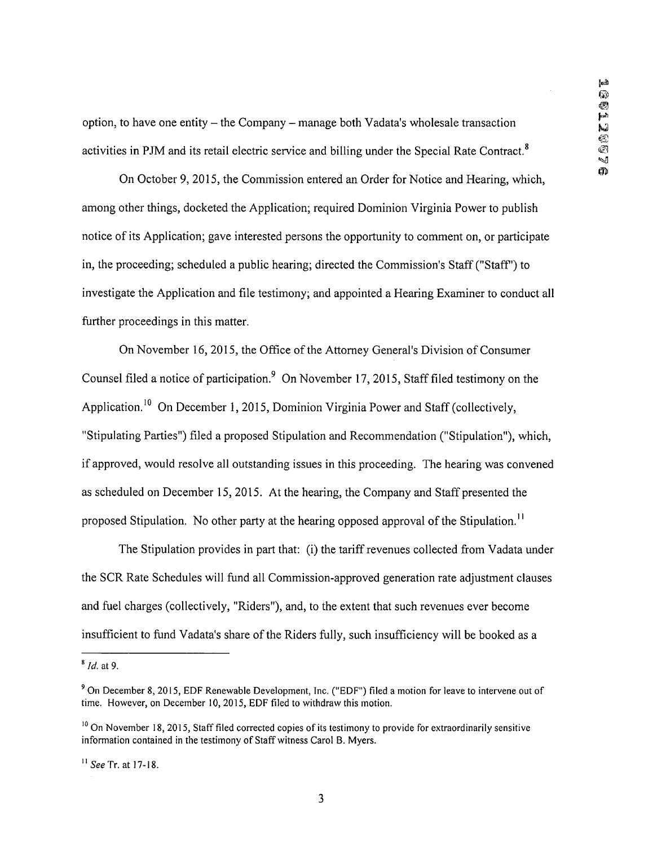option, to have one entity  $-$  the Company  $-$  manage both Vadata's wholesale transaction activities in PJM and its retail electric service and billing under the Special Rate Contract.<sup>8</sup>

On October 9, 2015, the Commission entered an Order for Notice and Hearing, which, among other things, docketed the Application; required Dominion Virginia Power to publish notice of its Application; gave interested persons the opportunity to comment on, or participate in, the proceeding; scheduled a public hearing; directed the Commission's Staff ("Staff") to investigate the Application and file testimony; and appointed a Hearing Examiner to conduct all further proceedings in this matter.

On November 16, 2015, the Office of the Attorney General's Division of Consumer Counsel filed a notice of participation.<sup>9</sup> On November 17, 2015, Staff filed testimony on the Application.<sup>10</sup> On December 1, 2015, Dominion Virginia Power and Staff (collectively, "Stipulating Parties") filed a proposed Stipulation and Recommendation ("Stipulation"), which, if approved, would resolve all outstanding issues in this proceeding. The hearing was convened as scheduled on December 15, 2015. At the hearing, the Company and Staff presented the proposed Stipulation. No other party at the hearing opposed approval of the Stipulation.<sup>11</sup>

The Stipulation provides in part that: (i) the tariff revenues collected from Vadata under the SCR Rate Schedules will fund all Commission-approved generation rate adjustment clauses and fuel charges (collectively, "Riders"), and, to the extent that such revenues ever become insufficient to fund Vadata's share of the Riders fully, such insufficiency will be booked as a

 $8$  Id. at 9.

<sup>9</sup> On December 8, 2015, EDF Renewable Development, Inc. ("EDF") filed a motion for leave to intervene out of time. However, on December 10, 2015, EDF filed to withdraw this motion.

<sup>&</sup>lt;sup>10</sup> On November 18, 2015, Staff filed corrected copies of its testimony to provide for extraordinarily sensitive information contained in the testimony of Staff witness Carol B. Myers.

 $11$  See Tr. at 17-18.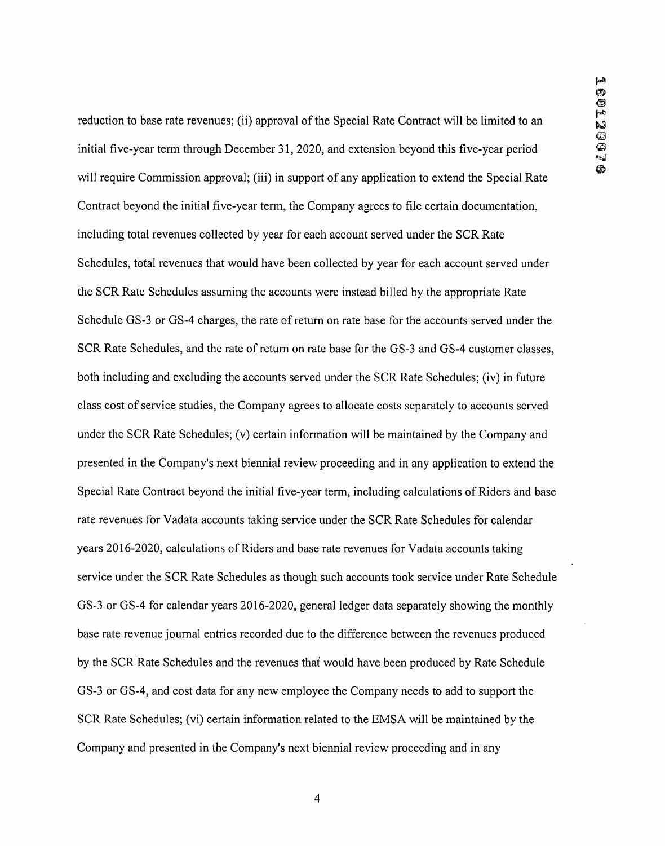reduction to base rate revenues; (ii) approval of the Special Rate Contract will be limited to an initial five-year term through December 31, 2020, and extension beyond this five-year period will require Commission approval; (iii) in support of any application to extend the Special Rate Contract beyond the initial five-year term, the Company agrees to file certain documentation, including total revenues collected by year for each account served under the SCR Rate Schedules, total revenues that would have been collected by year for each account served under the SCR Rate Schedules assuming the accounts were instead billed by the appropriate Rate Schedule GS-3 or GS-4 charges, the rate of return on rate base for the accounts served under the SCR Rate Schedules, and the rate of return on rate base for the GS-3 and GS-4 customer classes, both including and excluding the accounts served under the SCR Rate Schedules; (iv) in future class cost of service studies, the Company agrees to allocate costs separately to accounts served under the SCR Rate Schedules; (v) certain information will be maintained by the Company and presented in the Company's next biennial review proceeding and in any application to extend the Special Rate Contract beyond the initial five-year term, including calculations of Riders and base rate revenues for Vadata accounts taking service under the SCR Rate Schedules for calendar years 2016-2020, calculations of Riders and base rate revenues for Vadata accounts taking service under the SCR Rate Schedules as though such accounts took service under Rate Schedule GS-3 or GS-4 for calendar years 2016-2020, general ledger data separately showing the monthly base rate revenue journal entries recorded due to the difference between the revenues produced by the SCR Rate Schedules and the revenues that would have been produced by Rate Schedule GS-3 or GS-4, and cost data for any new employee the Company needs to add to support the SCR Rate Schedules; (vi) certain information related to the EMSA will be maintained by the Company and presented in the Company's next biennial review proceeding and in any

 $\overline{\mathcal{L}}$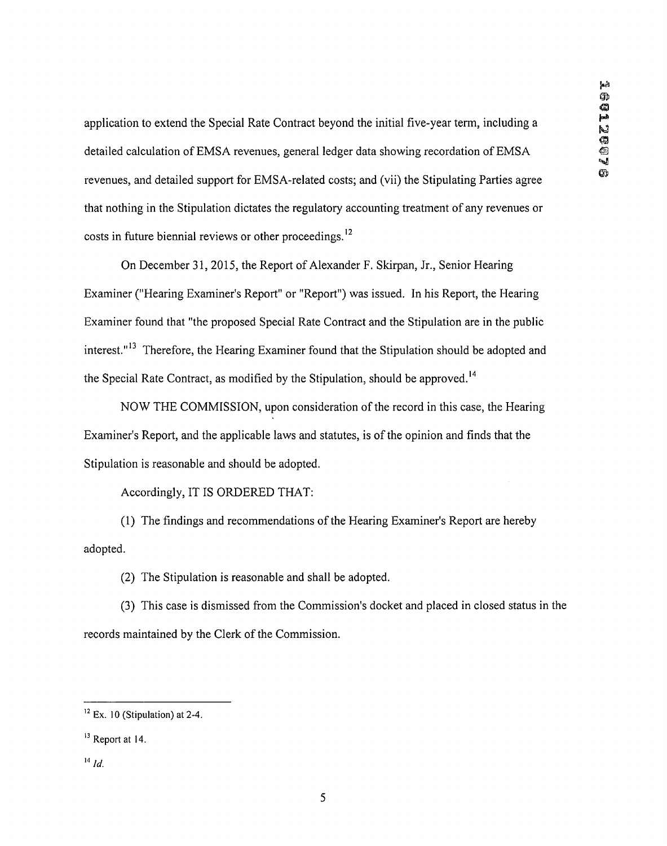application to extend the Special Rate Contract beyond the initial five-year term, including a ^ detailed calculation of EMSA revenues, general ledger data showing recordation of EMSA revenues, and detailed support for EMSA-related costs; and (vii) the Stipulating Parties agree that nothing in the Stipulation dictates the regulatory accounting treatment of any revenues or costs in future biennial reviews or other proceedings.<sup>12</sup>

On December 31, 2015, the Report of Alexander F. Skirpan, Jr., Senior Hearing Examiner ("Hearing Examiner's Report" or "Report") was issued. In his Report, the Hearing Examiner found that "the proposed Special Rate Contract and the Stipulation are in the public interest."13 Therefore, the Hearing Examiner found that the Stipulation should be adopted and the Special Rate Contract, as modified by the Stipulation, should be approved.<sup>14</sup>

NOW THE COMMISSION, upon consideration of the record in this case, the Hearing Examiner's Report, and the applicable laws and statutes, is of the opinion and finds that the Stipulation is reasonable and should be adopted.

Accordingly, IT IS ORDERED THAT:

(1) The findings and recommendations of the Hearing Examiner's Report are hereby adopted.

(2) The Stipulation is reasonable and shall be adopted.

(3) This case is dismissed from the Commission's docket and placed in closed status in the records maintained by the Clerk of the Commission.

 $14$  Id.

 $12$  Ex. 10 (Stipulation) at 2-4.

<sup>&</sup>lt;sup>13</sup> Report at 14.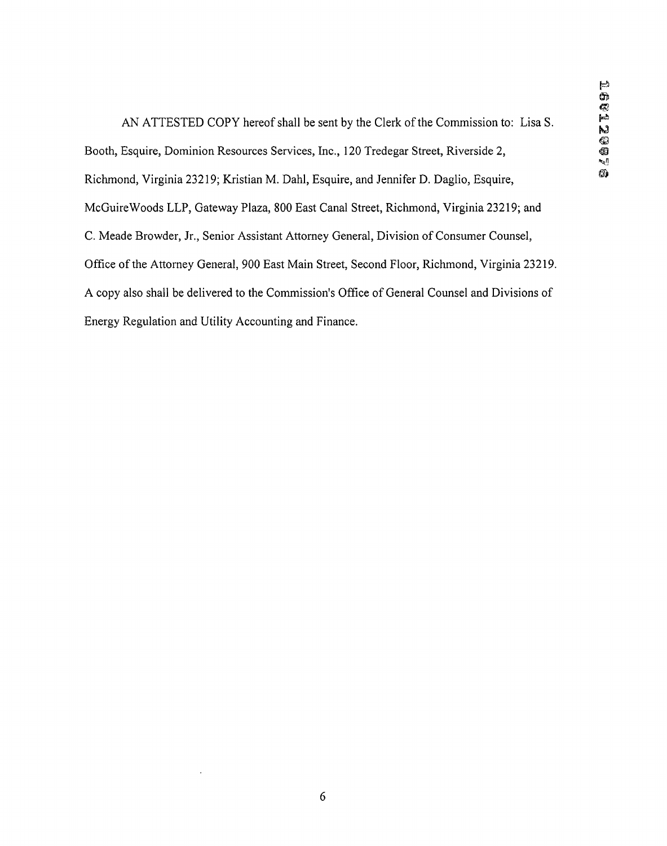AN ATTESTED COPY hereof shall be sent by the Clerk of the Commission to: Lisa S. Booth, Esquire, Dominion Resources Services, Inc., 120 Tredegar Street, Riverside 2, @ Richmond, Virginia 23219; Kristian M. Dahl, Esquire, and Jennifer D. Daglio, Esquire, McGuireWoods LLP, Gateway Plaza, 800 East Canal Street, Richmond, Virginia 23219; and C. Meade Browder, Jr., Senior Assistant Attorney General, Division of Consumer Counsel, Office of the Attorney General, 900 East Main Street, Second Floor, Richmond, Virginia 23219. A copy also shall be delivered to the Commission's Office of General Counsel and Divisions of Energy Regulation and Utility Accounting and Finance.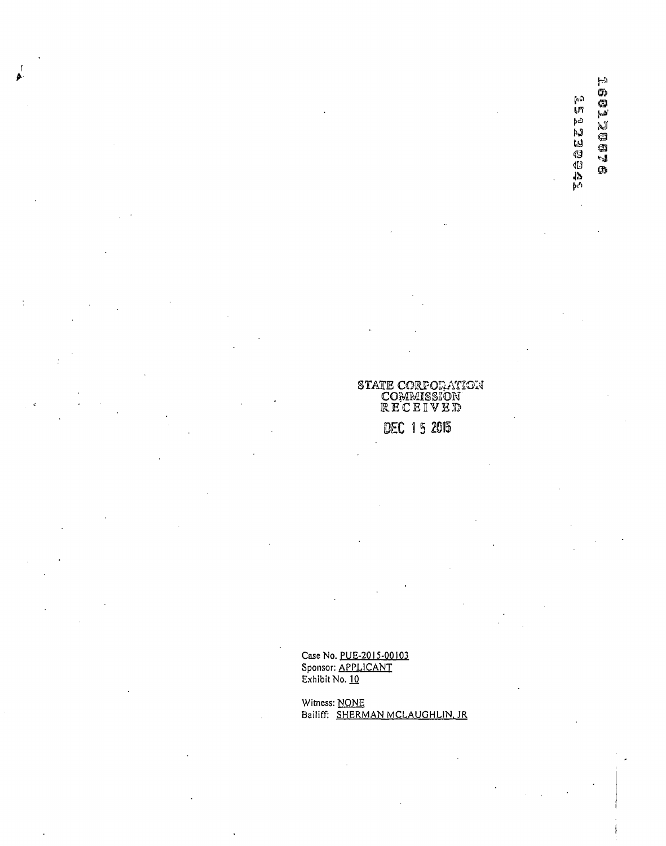**ARGEESES** 

### STATE CORFOIiAYION COMMISSION  $\mathbb R$ ECEIVE $\mathbb D$

# DEC 15 2015

Case No. PUE-20I5-00I03 Sponsor: <u>APPLICANT</u> Exhibit No. <u>10</u>

Witness: <u>NONE</u> Bailiff: <u>SHERMAN MCLAUGHLIN, JR</u>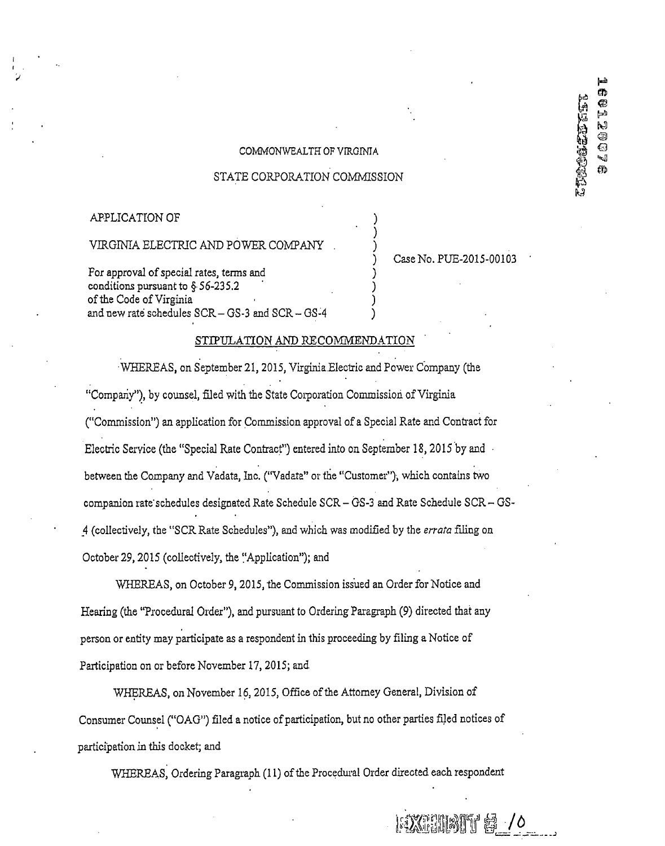### COMMONWEALTH OF VIRGINIA

### STATE CORPORATION COMMISSION

### APPLICATION OF

# VIRGINIA ELECTRIC AND POWER COMPANY

Fox approval of special rates, terms and conditions pursuant to §• 56-235.2 of the Code of Virginia and new rate schedules SCR- GS-3 and SCR - GS-4

### Case No. PUE-2015-00103

SXENING & /0

þæð m

⊕  $\overline{\mathbb{R}}$  $\blacktriangleright$ 

1001

CD.

25992220202020

### STIPULATION AND RECOMMENDATION

WHEREAS, on September 21, 2015, Virginia Electric and Power Company (the "Company"), by counsel, filed with the State Corporation Commissioh of Virginia ("Commission") an application for Commission approval of a Special Rate and Contract fox Electric Service (the "Special Rate Contract") entered into on September 18,2015 by and • between the Company and Vadata, Inc. ("Vadata" or the "Customer"), which contains two companion rate'schedules designated Rate Schedule SCR - GS-3 and Rate Schedule SCR - GS-4 (collectively, the "SCR Rate Schedules"), and which was modified by the errata filing on October 29, 2015 (collectively, the "Application"); and

WHEREAS, on October 9,2015, the Commission issued an Order for Notice and Hearing (the "Procedural Order"), and pursuant to Ordering Paragraph (9) directed that any person or entity may participate as a respondent in this proceeding by filing a Notice of Participation on or before November 17, 2015; and

WHEREAS, on November 16,2015, Office of the Attorney General, Division of Consumer Counsel ("OAG") filed a notice of participation, but no other parties filed notices of participation in this docket; and

WHEREAS, Ordering Paragraph (11) of the Procedural Order directed each respondent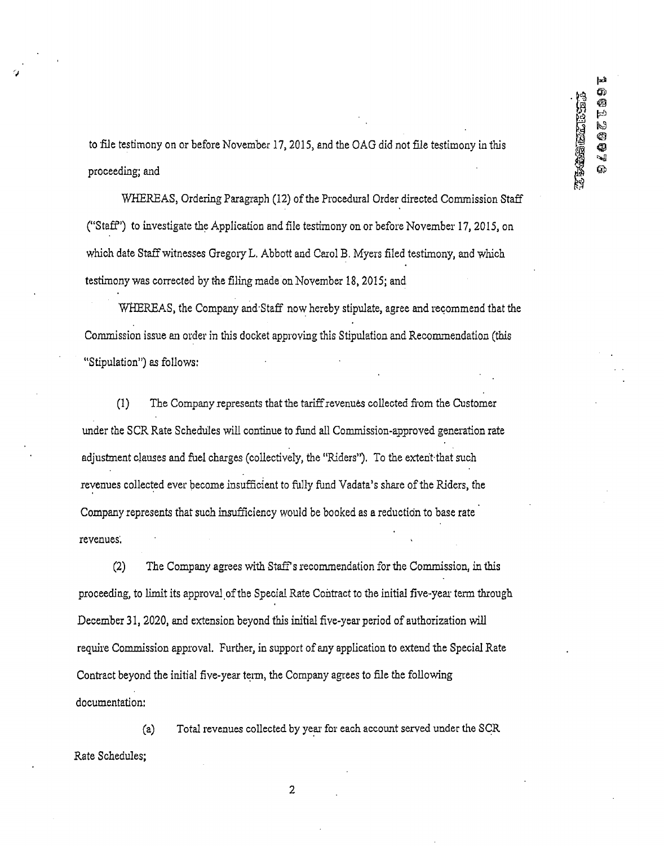to file testimony on or before November 17,2015, and the OAG did not file testimony in this proceeding; and

WHEREAS, Ordering Paragraph (12) of the Procedural Order directed Commission Staff ("Staff') to investigate the Application and file testimony on or before November 17, 2015, on which date Staff witnesses Gregory L. Abbott and Carol B. Myers filed testimony, and which testimony was corrected by the filing made on November 18,2015; and

WHEREAS, the Company and'Staff now hereby stipulate, agree and recommend that the Commission issue an order in this docket approving this Stipulation and Recommendation (this "Stipulation") as follows:

(1) The Company represents that the tariff revenues collected from the Customer under the SCR Rate Schedules will continue to fund all Commission-approved generation rate adjustment clauses and fuel charges (collectively, the "Riders"). To the extent-that such revenues collected ever become insufficient to fully fund Vadata's share of the Riders, the Company represents that such insufficiency would be booked as a reduction to base rate revenues.

(2) The Company agrees with Staff s recommendation for the Commission, in this proceeding, to limit its approval of the Special Rate Contract to the initial five-year term through December 31, 2020, and extension beyond this initial five-year period of authorization will require Commission approval. Further, in support of any application to extend the Special Rate Contract beyond the initial five-year term, the Company agrees to file the following documentation:

(a) Total revenues collected by year for each account served under the SCR Rate Schedules;

2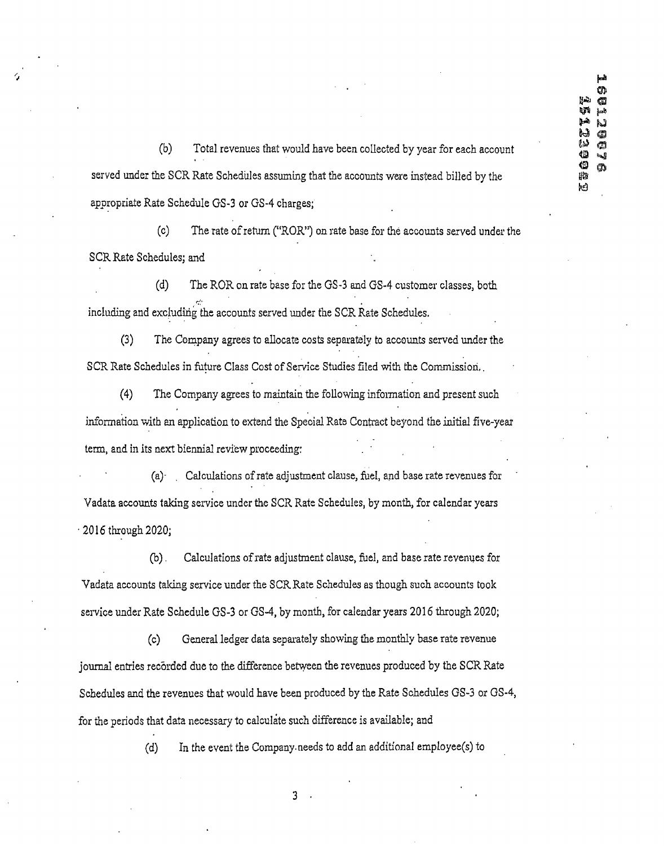(b) Total revenues that would have been collected by year for each account served under the SCR Rate Schedules assuming that the accounts were instead billed by the appropriate Rate Schedule GS-3 or GS-4 charges;

(c) The rate of return ("ROR") on rate base for the accounts served under the SCR Rate Schedules: and

(d) The ROR on rate base for the GS-3 and GS-4 customer classes, both including and excluding the accounts served under the SCR Rate Schedules.

(3) The Company agrees to allocate costs separately to accounts served under the SCR Rate Schedules in future Class Cost of Service Studies filed with the Commissioh..

(4) The Company agrees to maintain the following information and present such information with an application to extend the Special Rate Contract beyond the initial five-year term, and in its next biennial review proceeding:

(a)- . Calculations of rate adjustment clause, fuel, and base rate revenues for Vadata accounts taking service under the SCR Rate Schedules, by month, for calendar years •2016 through 2020;

(b). Calculations of rate adjustment clause, fuel, and base rate revenues for Vadata accounts taking service under the SCR Rate Schedules as though such accounts took service under Rate Schedule GS-3 or GS-4, by month, for calendar years 2016 through 2020;

(c) General ledger data separately showing the monthly base rate revenue journal entries recorded due to the difference between the revenues produced by the SCR Rate Schedules and the revenues that would have been produced by the Rate Schedules GS-3 or GS-4, for the periods that data necessary to calculate such difference is available; and

(d) In the event the Company, needs to add an additional employee(s) to

 $\overline{3}$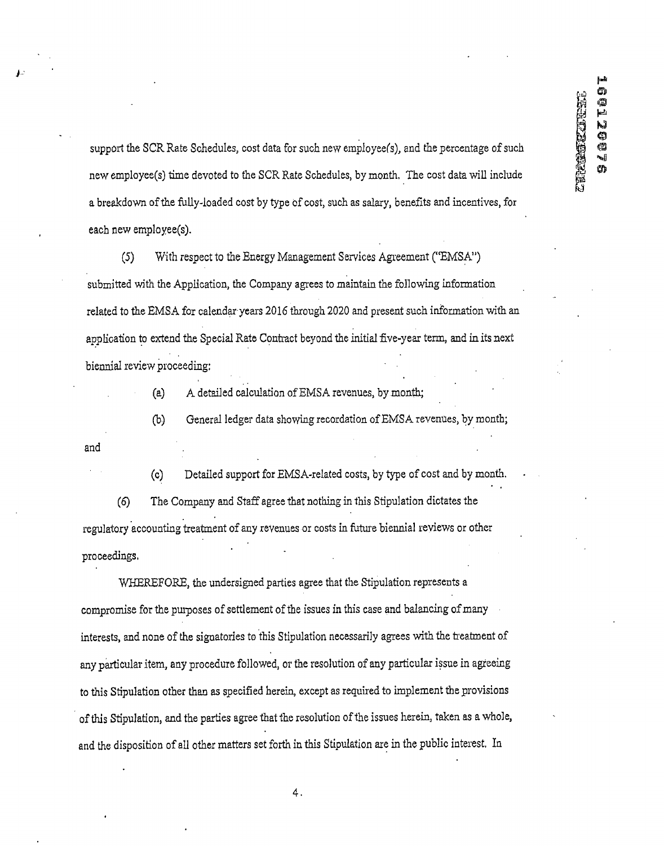support the SCR Rate Schedules, cost data for such new employeefs), and the percentage of such new employee(s) time devoted to the SCR Rate Schedules, by month, The cost data will include a breakdown of the fully-loaded cost by type of cost, such as salary, benefits and incentives, for each new employee(s).

(5) With respect to the Energy Management Services Agreement ("EMSA") submitted with the Application, the Company agrees to maintain the following information related to the EMSA for calendar years 2016 through 2020 and present such information with an application to extend the Special Rate Contract beyond the initial five-year term, and in its next biennial review proceeding:

(a) A detailed calculation of EMSA revenues, by month;

(b) General ledger data showing recordation of EMSA revenues, by month;

and

(c) Detailed support for EMSA-related costs, by type of cost and by month. (6) The Company and Staff agree that nothing in this Stipulation dictates the regulatory accounting treatment of any revenues or costs in future biennial reviews or other proceedings,

WHEREFORE, the undersigned parties agree that the Stipulation represents a compromise for the purposes of settlement of the issues in this case and balancing of many interests, and none of the signatories to this Stipulation necessarily agrees with the treatment of any particular item, any procedure followed, or the resolution of any particular issue in agreeing to this Stipulation other than as specified herein, except as required to implement the provisions of this Stipulation, and the parties agree that the resolution of the issues herein, taken as a whole, and the disposition of all other matters set forth in this Stipulation are in the public interest. In

4.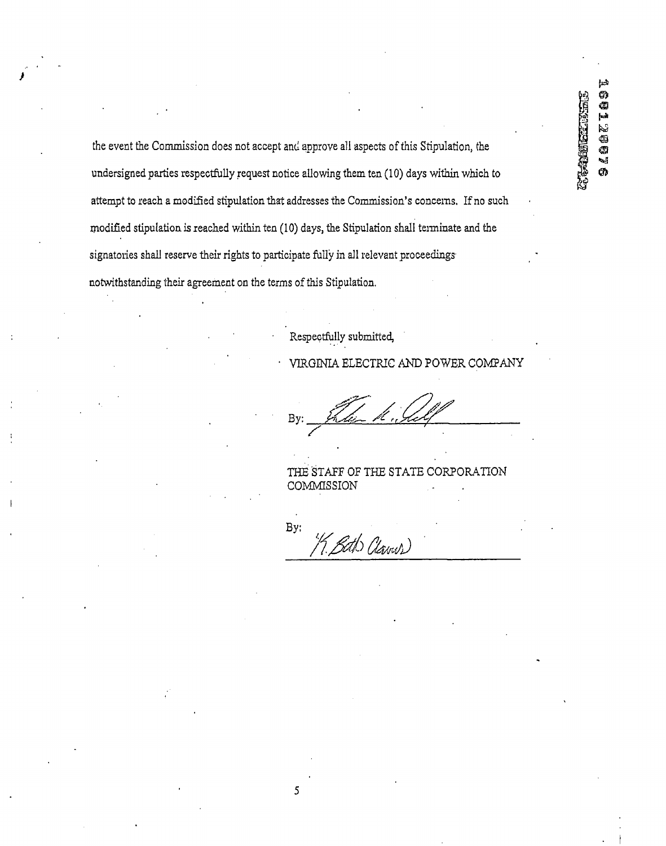$\approx$ **SUIZORYS** 

the event the Commission does not accept and approve all aspects of this Stipulation, the undersigned parties respectfully request notice allowing them ten (10) days within which to attempt to reach a modified stipulation that addresses the Commission's concerns. If no such modified stipulation is reached within ten (10) days, the Stipulation shall terminate and the signatories shall reserve their rights to participate fully in all relevant proceedings' notwithstanding their agreement on the terms of this Stipulation.

Respectfully submitted,

VIRGINIA ELECTRIC AND POWER COMPANY

By

THE STAFF OF THE STATE CORPORATION **COMMISSION** 

By: 1. Both Claves)

 $\overline{5}$